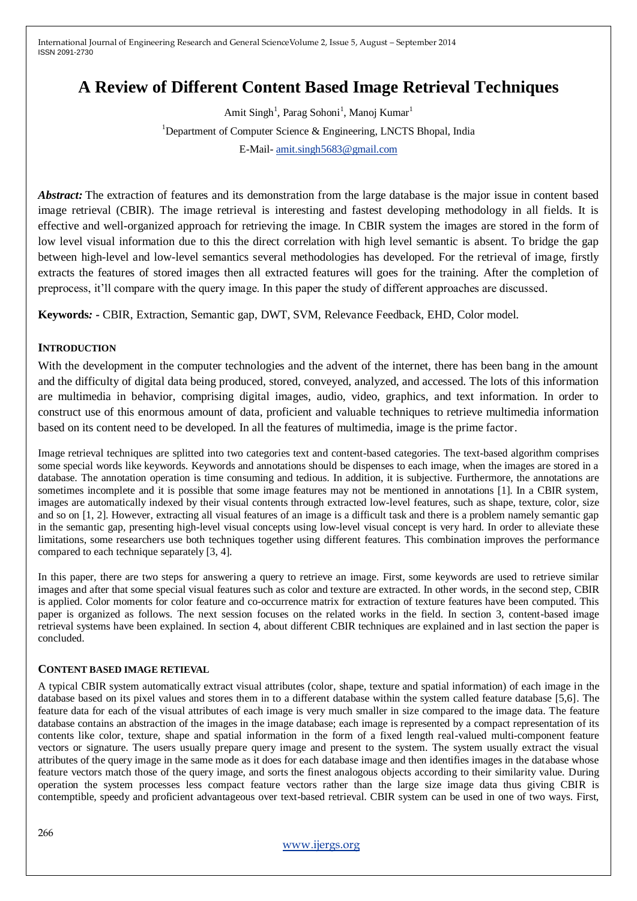# **A Review of Different Content Based Image Retrieval Techniques**

Amit Singh<sup>1</sup>, Parag Sohoni<sup>1</sup>, Manoj Kumar<sup>1</sup> <sup>1</sup>Department of Computer Science & Engineering, LNCTS Bhopal, India E-Mail- [amit.singh5683@gmail.com](mailto:amit.singh5683@gmail.com)

*Abstract:* The extraction of features and its demonstration from the large database is the major issue in content based image retrieval (CBIR). The image retrieval is interesting and fastest developing methodology in all fields. It is effective and well-organized approach for retrieving the image. In CBIR system the images are stored in the form of low level visual information due to this the direct correlation with high level semantic is absent. To bridge the gap between high-level and low-level semantics several methodologies has developed. For the retrieval of image, firstly extracts the features of stored images then all extracted features will goes for the training. After the completion of preprocess, it"ll compare with the query image. In this paper the study of different approaches are discussed.

**Keywords***: -* CBIR, Extraction, Semantic gap, DWT, SVM, Relevance Feedback, EHD, Color model.

#### **INTRODUCTION**

With the development in the computer technologies and the advent of the internet, there has been bang in the amount and the difficulty of digital data being produced, stored, conveyed, analyzed, and accessed. The lots of this information are multimedia in behavior, comprising digital images, audio, video, graphics, and text information. In order to construct use of this enormous amount of data, proficient and valuable techniques to retrieve multimedia information based on its content need to be developed. In all the features of multimedia, image is the prime factor.

Image retrieval techniques are splitted into two categories text and content-based categories. The text-based algorithm comprises some special words like keywords. Keywords and annotations should be dispenses to each image, when the images are stored in a database. The annotation operation is time consuming and tedious. In addition, it is subjective. Furthermore, the annotations are sometimes incomplete and it is possible that some image features may not be mentioned in annotations [1]. In a CBIR system, images are automatically indexed by their visual contents through extracted low-level features, such as shape, texture, color, size and so on [1, 2]. However, extracting all visual features of an image is a difficult task and there is a problem namely semantic gap in the semantic gap, presenting high-level visual concepts using low-level visual concept is very hard. In order to alleviate these limitations, some researchers use both techniques together using different features. This combination improves the performance compared to each technique separately [3, 4].

In this paper, there are two steps for answering a query to retrieve an image. First, some keywords are used to retrieve similar images and after that some special visual features such as color and texture are extracted. In other words, in the second step, CBIR is applied. Color moments for color feature and co-occurrence matrix for extraction of texture features have been computed. This paper is organized as follows. The next session focuses on the related works in the field. In section 3, content-based image retrieval systems have been explained. In section 4, about different CBIR techniques are explained and in last section the paper is concluded.

#### **CONTENT BASED IMAGE RETIEVAL**

A typical CBIR system automatically extract visual attributes (color, shape, texture and spatial information) of each image in the database based on its pixel values and stores them in to a different database within the system called feature database [5,6]. The feature data for each of the visual attributes of each image is very much smaller in size compared to the image data. The feature database contains an abstraction of the images in the image database; each image is represented by a compact representation of its contents like color, texture, shape and spatial information in the form of a fixed length real-valued multi-component feature vectors or signature. The users usually prepare query image and present to the system. The system usually extract the visual attributes of the query image in the same mode as it does for each database image and then identifies images in the database whose feature vectors match those of the query image, and sorts the finest analogous objects according to their similarity value. During operation the system processes less compact feature vectors rather than the large size image data thus giving CBIR is contemptible, speedy and proficient advantageous over text-based retrieval. CBIR system can be used in one of two ways. First,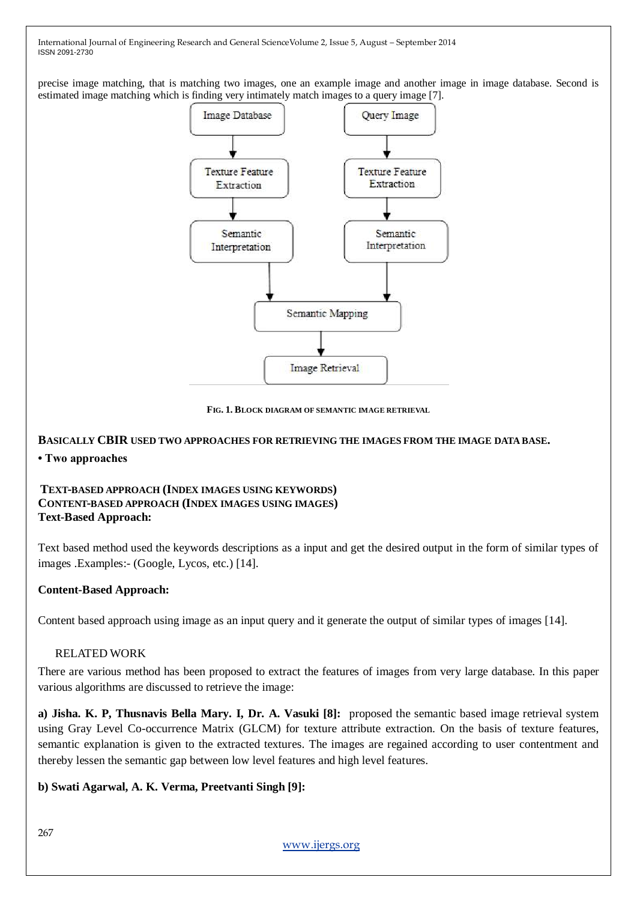precise image matching, that is matching two images, one an example image and another image in image database. Second is estimated image matching which is finding very intimately match images to a query image [7].



**FIG. 1. BLOCK DIAGRAM OF SEMANTIC IMAGE RETRIEVAL**

# **BASICALLY CBIR USED TWO APPROACHES FOR RETRIEVING THE IMAGES FROM THE IMAGE DATA BASE. • Two approaches**

#### **TEXT-BASED APPROACH (INDEX IMAGES USING KEYWORDS) CONTENT-BASED APPROACH (INDEX IMAGES USING IMAGES) Text-Based Approach:**

Text based method used the keywords descriptions as a input and get the desired output in the form of similar types of images .Examples:- (Google, Lycos, etc.) [14].

# **Content-Based Approach:**

Content based approach using image as an input query and it generate the output of similar types of images [14].

# RELATED WORK

There are various method has been proposed to extract the features of images from very large database. In this paper various algorithms are discussed to retrieve the image:

**a) Jisha. K. P, Thusnavis Bella Mary. I, Dr. A. Vasuki [8]:** proposed the semantic based image retrieval system using Gray Level Co-occurrence Matrix (GLCM) for texture attribute extraction. On the basis of texture features, semantic explanation is given to the extracted textures. The images are regained according to user contentment and thereby lessen the semantic gap between low level features and high level features.

# **b) Swati Agarwal, A. K. Verma, Preetvanti Singh [9]:**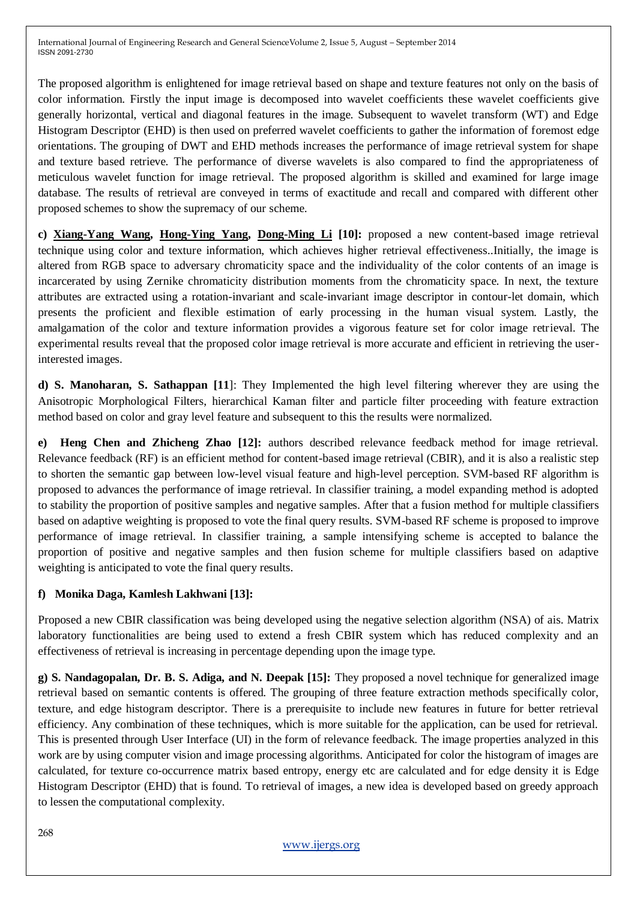The proposed algorithm is enlightened for image retrieval based on shape and texture features not only on the basis of color information. Firstly the input image is decomposed into wavelet coefficients these wavelet coefficients give generally horizontal, vertical and diagonal features in the image. Subsequent to wavelet transform (WT) and Edge Histogram Descriptor (EHD) is then used on preferred wavelet coefficients to gather the information of foremost edge orientations. The grouping of DWT and EHD methods increases the performance of image retrieval system for shape and texture based retrieve. The performance of diverse wavelets is also compared to find the appropriateness of meticulous wavelet function for image retrieval. The proposed algorithm is skilled and examined for large image database. The results of retrieval are conveyed in terms of exactitude and recall and compared with different other proposed schemes to show the supremacy of our scheme.

**c) [Xiang-Yang Wang,](http://www.sciencedirect.com/science/article/pii/S0045790613000116) [Hong-Ying Yang,](http://www.sciencedirect.com/science/article/pii/S0045790613000116) [Dong-Ming Li](http://www.sciencedirect.com/science/article/pii/S0045790613000116) [10]:** proposed a new content-based image retrieval technique using color and texture information, which achieves higher retrieval effectiveness..Initially, the image is altered from RGB space to adversary chromaticity space and the individuality of the color contents of an image is incarcerated by using Zernike chromaticity distribution moments from the chromaticity space. In next, the texture attributes are extracted using a rotation-invariant and scale-invariant image descriptor in contour-let domain, which presents the proficient and flexible estimation of early processing in the human visual system. Lastly, the amalgamation of the color and texture information provides a vigorous feature set for color image retrieval. The experimental results reveal that the proposed color image retrieval is more accurate and efficient in retrieving the userinterested images.

**d) S. Manoharan, S. Sathappan [11**]: They Implemented the high level filtering wherever they are using the Anisotropic Morphological Filters, hierarchical Kaman filter and particle filter proceeding with feature extraction method based on color and gray level feature and subsequent to this the results were normalized.

**e) Heng Chen and Zhicheng Zhao [12]:** authors described relevance feedback method for image retrieval. Relevance feedback (RF) is an efficient method for content-based image retrieval (CBIR), and it is also a realistic step to shorten the semantic gap between low-level visual feature and high-level perception. SVM-based RF algorithm is proposed to advances the performance of image retrieval. In classifier training, a model expanding method is adopted to stability the proportion of positive samples and negative samples. After that a fusion method for multiple classifiers based on adaptive weighting is proposed to vote the final query results. SVM-based RF scheme is proposed to improve performance of image retrieval. In classifier training, a sample intensifying scheme is accepted to balance the proportion of positive and negative samples and then fusion scheme for multiple classifiers based on adaptive weighting is anticipated to vote the final query results.

# **f) Monika Daga, Kamlesh Lakhwani [13]:**

Proposed a new CBIR classification was being developed using the negative selection algorithm (NSA) of ais. Matrix laboratory functionalities are being used to extend a fresh CBIR system which has reduced complexity and an effectiveness of retrieval is increasing in percentage depending upon the image type.

**g) S. Nandagopalan, Dr. B. S. Adiga, and N. Deepak [15]:** They proposed a novel technique for generalized image retrieval based on semantic contents is offered. The grouping of three feature extraction methods specifically color, texture, and edge histogram descriptor. There is a prerequisite to include new features in future for better retrieval efficiency. Any combination of these techniques, which is more suitable for the application, can be used for retrieval. This is presented through User Interface (UI) in the form of relevance feedback. The image properties analyzed in this work are by using computer vision and image processing algorithms. Anticipated for color the histogram of images are calculated, for texture co-occurrence matrix based entropy, energy etc are calculated and for edge density it is Edge Histogram Descriptor (EHD) that is found. To retrieval of images, a new idea is developed based on greedy approach to lessen the computational complexity.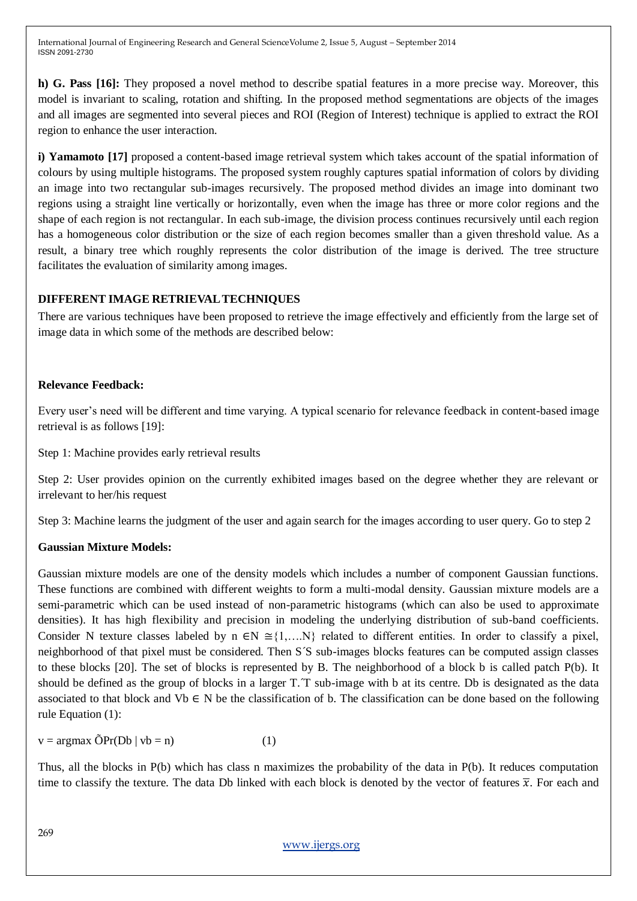**h) G. Pass [16]:** They proposed a novel method to describe spatial features in a more precise way. Moreover, this model is invariant to scaling, rotation and shifting. In the proposed method segmentations are objects of the images and all images are segmented into several pieces and ROI (Region of Interest) technique is applied to extract the ROI region to enhance the user interaction.

**i) Yamamoto** [17] proposed a content-based image retrieval system which takes account of the spatial information of colours by using multiple histograms. The proposed system roughly captures spatial information of colors by dividing an image into two rectangular sub-images recursively. The proposed method divides an image into dominant two regions using a straight line vertically or horizontally, even when the image has three or more color regions and the shape of each region is not rectangular. In each sub-image, the division process continues recursively until each region has a homogeneous color distribution or the size of each region becomes smaller than a given threshold value. As a result, a binary tree which roughly represents the color distribution of the image is derived. The tree structure facilitates the evaluation of similarity among images.

# **DIFFERENT IMAGE RETRIEVALTECHNIQUES**

There are various techniques have been proposed to retrieve the image effectively and efficiently from the large set of image data in which some of the methods are described below:

# **Relevance Feedback:**

Every user"s need will be different and time varying. A typical scenario for relevance feedback in content-based image retrieval is as follows [19]:

Step 1: Machine provides early retrieval results

Step 2: User provides opinion on the currently exhibited images based on the degree whether they are relevant or irrelevant to her/his request

Step 3: Machine learns the judgment of the user and again search for the images according to user query. Go to step 2

# **Gaussian Mixture Models:**

Gaussian mixture models are one of the density models which includes a number of component Gaussian functions. These functions are combined with different weights to form a multi-modal density. Gaussian mixture models are a semi-parametric which can be used instead of non-parametric histograms (which can also be used to approximate densities). It has high flexibility and precision in modeling the underlying distribution of sub-band coefficients. Consider N texture classes labeled by  $n \in \mathbb{N} \cong \{1,...N\}$  related to different entities. In order to classify a pixel, neighborhood of that pixel must be considered. Then S´S sub-images blocks features can be computed assign classes to these blocks [20]. The set of blocks is represented by B. The neighborhood of a block b is called patch P(b). It should be defined as the group of blocks in a larger T.<sup>T</sup> sub-image with b at its centre. Db is designated as the data associated to that block and Vb  $\in$  N be the classification of b. The classification can be done based on the following rule Equation (1):

 $v = \argmax \tilde{O}Pr(Db \mid vb = n)$  (1)

Thus, all the blocks in P(b) which has class n maximizes the probability of the data in P(b). It reduces computation time to classify the texture. The data Db linked with each block is denoted by the vector of features  $\bar{x}$ . For each and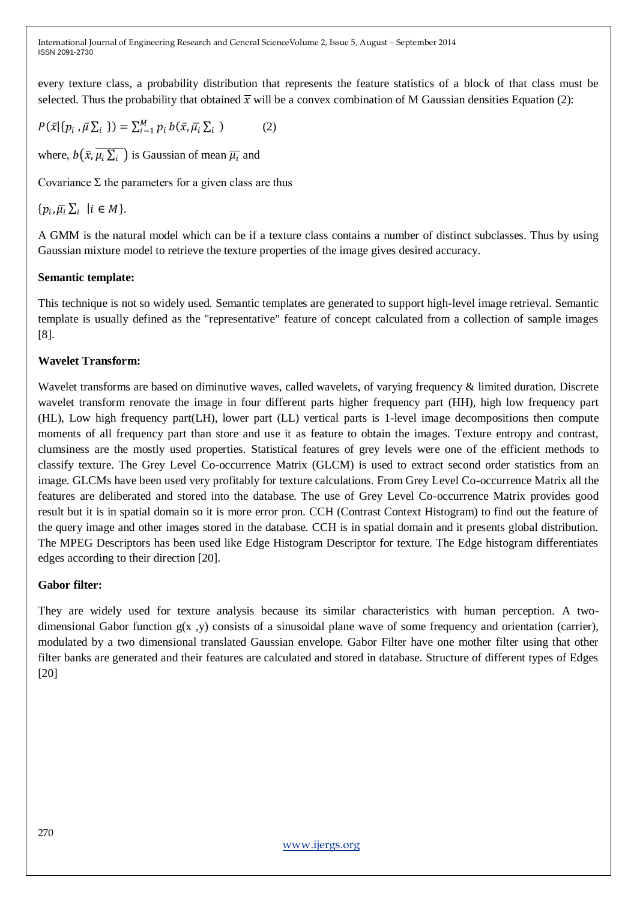every texture class, a probability distribution that represents the feature statistics of a block of that class must be selected. Thus the probability that obtained  $\bar{x}$  will be a convex combination of M Gaussian densities Equation (2):

$$
P(\bar{x}|\{p_i,\bar{\mu}\sum_i\}) = \sum_{i=1}^M p_i b(\bar{x},\bar{\mu}_i\sum_i)
$$
 (2)

where,  $b(\bar{x}, \overline{\mu_i} \overline{\Sigma_i})$  is Gaussian of mean  $\overline{\mu_i}$  and

Covariance  $\Sigma$  the parameters for a given class are thus

 $\{p_i, \overline{\mu}_i \sum_i | i \in M \}.$ 

A GMM is the natural model which can be if a texture class contains a number of distinct subclasses. Thus by using Gaussian mixture model to retrieve the texture properties of the image gives desired accuracy.

# **Semantic template:**

This technique is not so widely used. Semantic templates are generated to support high-level image retrieval. Semantic template is usually defined as the "representative" feature of concept calculated from a collection of sample images [8].

# **Wavelet Transform:**

Wavelet transforms are based on diminutive waves, called wavelets, of varying frequency & limited duration. Discrete wavelet transform renovate the image in four different parts higher frequency part (HH), high low frequency part (HL), Low high frequency part(LH), lower part (LL) vertical parts is 1-level image decompositions then compute moments of all frequency part than store and use it as feature to obtain the images. Texture entropy and contrast, clumsiness are the mostly used properties. Statistical features of grey levels were one of the efficient methods to classify texture. The Grey Level Co-occurrence Matrix (GLCM) is used to extract second order statistics from an image. GLCMs have been used very profitably for texture calculations. From Grey Level Co-occurrence Matrix all the features are deliberated and stored into the database. The use of Grey Level Co-occurrence Matrix provides good result but it is in spatial domain so it is more error pron. CCH (Contrast Context Histogram) to find out the feature of the query image and other images stored in the database. CCH is in spatial domain and it presents global distribution. The MPEG Descriptors has been used like Edge Histogram Descriptor for texture. The Edge histogram differentiates edges according to their direction [20].

# **Gabor filter:**

They are widely used for texture analysis because its similar characteristics with human perception. A twodimensional Gabor function  $g(x, y)$  consists of a sinusoidal plane wave of some frequency and orientation (carrier), modulated by a two dimensional translated Gaussian envelope. Gabor Filter have one mother filter using that other filter banks are generated and their features are calculated and stored in database. Structure of different types of Edges [20]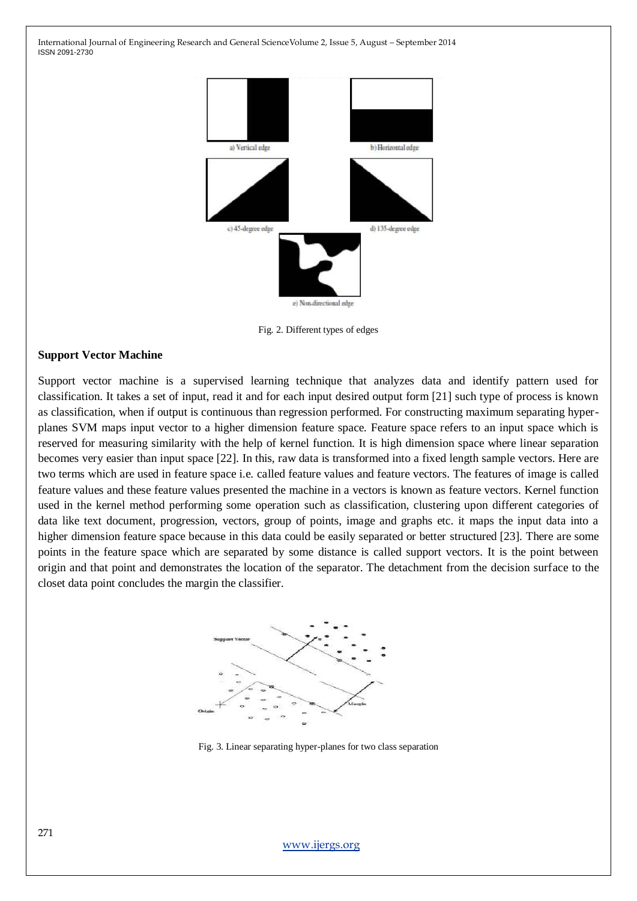

Fig. 2. Different types of edges

#### **Support Vector Machine**

Support vector machine is a supervised learning technique that analyzes data and identify pattern used for classification. It takes a set of input, read it and for each input desired output form [21] such type of process is known as classification, when if output is continuous than regression performed. For constructing maximum separating hyperplanes SVM maps input vector to a higher dimension feature space. Feature space refers to an input space which is reserved for measuring similarity with the help of kernel function. It is high dimension space where linear separation becomes very easier than input space [22]. In this, raw data is transformed into a fixed length sample vectors. Here are two terms which are used in feature space i.e. called feature values and feature vectors. The features of image is called feature values and these feature values presented the machine in a vectors is known as feature vectors. Kernel function used in the kernel method performing some operation such as classification, clustering upon different categories of data like text document, progression, vectors, group of points, image and graphs etc. it maps the input data into a higher dimension feature space because in this data could be easily separated or better structured [23]. There are some points in the feature space which are separated by some distance is called support vectors. It is the point between origin and that point and demonstrates the location of the separator. The detachment from the decision surface to the closet data point concludes the margin the classifier.



Fig. 3. Linear separating hyper-planes for two class separation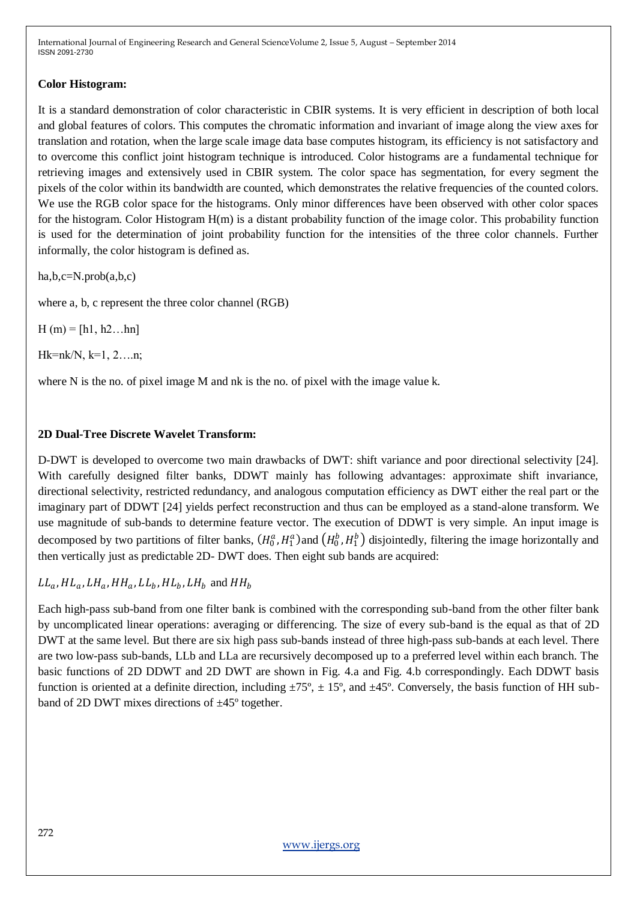# **Color Histogram:**

It is a standard demonstration of color characteristic in CBIR systems. It is very efficient in description of both local and global features of colors. This computes the chromatic information and invariant of image along the view axes for translation and rotation, when the large scale image data base computes histogram, its efficiency is not satisfactory and to overcome this conflict joint histogram technique is introduced. Color histograms are a fundamental technique for retrieving images and extensively used in CBIR system. The color space has segmentation, for every segment the pixels of the color within its bandwidth are counted, which demonstrates the relative frequencies of the counted colors. We use the RGB color space for the histograms. Only minor differences have been observed with other color spaces for the histogram. Color Histogram H(m) is a distant probability function of the image color. This probability function is used for the determination of joint probability function for the intensities of the three color channels. Further informally, the color histogram is defined as.

ha,b,c=N.prob(a,b,c)

where a, b, c represent the three color channel (RGB)

 $H(m) = [h1, h2...hn]$ 

 $Hk=nk/N, k=1, 2,...n;$ 

where N is the no. of pixel image M and nk is the no. of pixel with the image value k.

# **2D Dual-Tree Discrete Wavelet Transform:**

D-DWT is developed to overcome two main drawbacks of DWT: shift variance and poor directional selectivity [24]. With carefully designed filter banks, DDWT mainly has following advantages: approximate shift invariance, directional selectivity, restricted redundancy, and analogous computation efficiency as DWT either the real part or the imaginary part of DDWT [24] yields perfect reconstruction and thus can be employed as a stand-alone transform. We use magnitude of sub-bands to determine feature vector. The execution of DDWT is very simple. An input image is decomposed by two partitions of filter banks,  $(H_0^a, H_1^a)$  and  $(H_0^b, H_1^b)$  disjointedly, filtering the image horizontally and then vertically just as predictable 2D- DWT does. Then eight sub bands are acquired:

 $LL_a$ ,  $HL_a$ ,  $LH_a$ ,  $HH_a$ ,  $LL_b$ ,  $HL_b$ ,  $LH_b$  and  $HH_b$ 

Each high-pass sub-band from one filter bank is combined with the corresponding sub-band from the other filter bank by uncomplicated linear operations: averaging or differencing. The size of every sub-band is the equal as that of 2D DWT at the same level. But there are six high pass sub-bands instead of three high-pass sub-bands at each level. There are two low-pass sub-bands, LLb and LLa are recursively decomposed up to a preferred level within each branch. The basic functions of 2D DDWT and 2D DWT are shown in Fig. 4.a and Fig. 4.b correspondingly. Each DDWT basis function is oriented at a definite direction, including  $\pm 75^\circ$ ,  $\pm 15^\circ$ , and  $\pm 45^\circ$ . Conversely, the basis function of HH subband of 2D DWT mixes directions of ±45º together.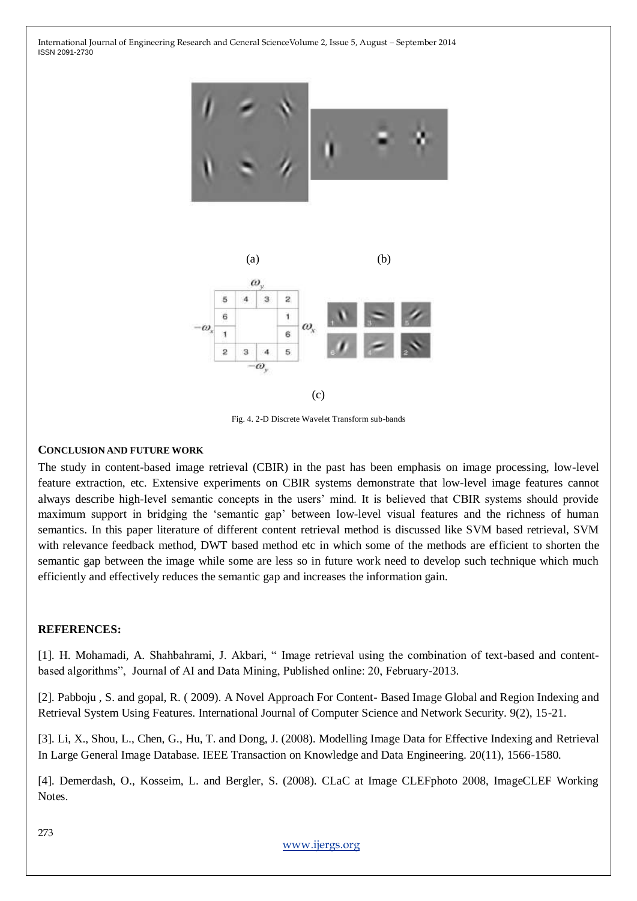





Fig. 4. 2-D Discrete Wavelet Transform sub-bands

#### **CONCLUSION AND FUTURE WORK**

The study in content-based image retrieval (CBIR) in the past has been emphasis on image processing, low-level feature extraction, etc. Extensive experiments on CBIR systems demonstrate that low-level image features cannot always describe high-level semantic concepts in the users' mind. It is believed that CBIR systems should provide maximum support in bridging the "semantic gap" between low-level visual features and the richness of human semantics. In this paper literature of different content retrieval method is discussed like SVM based retrieval, SVM with relevance feedback method, DWT based method etc in which some of the methods are efficient to shorten the semantic gap between the image while some are less so in future work need to develop such technique which much efficiently and effectively reduces the semantic gap and increases the information gain.

# **REFERENCES:**

[1]. H. Mohamadi, A. Shahbahrami, J. Akbari, " Image retrieval using the combination of text-based and contentbased algorithms", Journal of AI and Data Mining, Published online: 20, February-2013.

[2]. Pabboju , S. and gopal, R. ( 2009). A Novel Approach For Content- Based Image Global and Region Indexing and Retrieval System Using Features. International Journal of Computer Science and Network Security. 9(2), 15-21.

[3]. Li, X., Shou, L., Chen, G., Hu, T. and Dong, J. (2008). Modelling Image Data for Effective Indexing and Retrieval In Large General Image Database. IEEE Transaction on Knowledge and Data Engineering. 20(11), 1566-1580.

[4]. Demerdash, O., Kosseim, L. and Bergler, S. (2008). CLaC at Image CLEFphoto 2008, ImageCLEF Working Notes.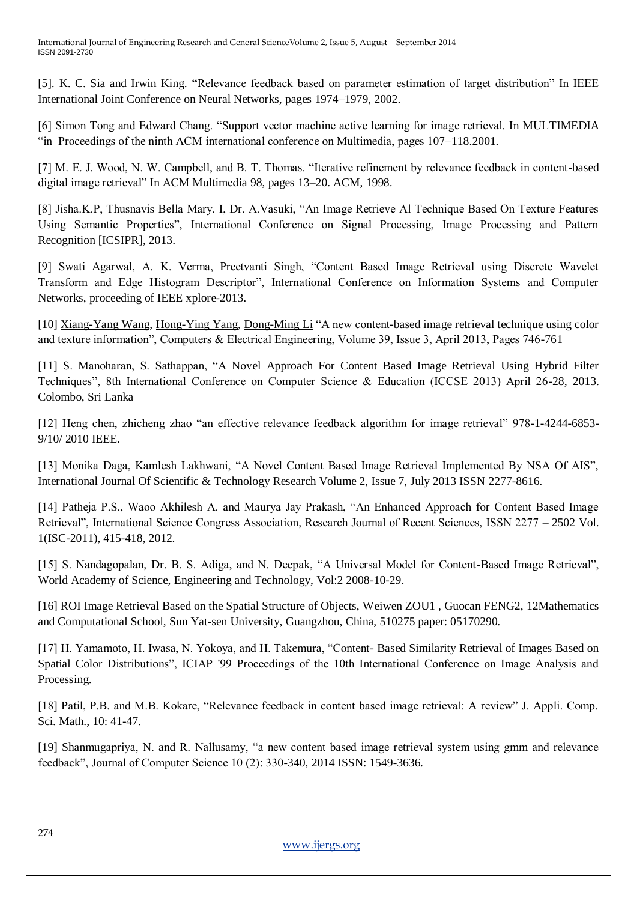[5]. K. C. Sia and Irwin King. "Relevance feedback based on parameter estimation of target distribution" In IEEE International Joint Conference on Neural Networks, pages 1974–1979, 2002.

[6] Simon Tong and Edward Chang. "Support vector machine active learning for image retrieval. In MULTIMEDIA "in Proceedings of the ninth ACM international conference on Multimedia, pages 107–118.2001.

[7] M. E. J. Wood, N. W. Campbell, and B. T. Thomas. "Iterative refinement by relevance feedback in content-based digital image retrieval" In ACM Multimedia 98, pages 13–20. ACM, 1998.

[8] Jisha.K.P, Thusnavis Bella Mary. I, Dr. A.Vasuki, "An Image Retrieve Al Technique Based On Texture Features Using Semantic Properties", International Conference on Signal Processing, Image Processing and Pattern Recognition [ICSIPR], 2013.

[9] Swati Agarwal, A. K. Verma, Preetvanti Singh, "Content Based Image Retrieval using Discrete Wavelet Transform and Edge Histogram Descriptor", International Conference on Information Systems and Computer Networks, proceeding of IEEE xplore-2013.

[10] [Xiang-Yang Wang, Hong-Ying Yang, Dong-Ming Li](http://www.sciencedirect.com/science/article/pii/S0045790613000116) "A new content-based image retrieval technique using color and texture information", Computers & Electrical Engineering, Volume 39, Issue 3, April 2013, Pages 746-761

[11] S. Manoharan, S. Sathappan, "A Novel Approach For Content Based Image Retrieval Using Hybrid Filter Techniques", 8th International Conference on Computer Science & Education (ICCSE 2013) April 26-28, 2013. Colombo, Sri Lanka

[12] Heng chen, zhicheng zhao "an effective relevance feedback algorithm for image retrieval" 978-1-4244-6853- 9/10/ 2010 IEEE.

[13] Monika Daga, Kamlesh Lakhwani, "A Novel Content Based Image Retrieval Implemented By NSA Of AIS", International Journal Of Scientific & Technology Research Volume 2, Issue 7, July 2013 ISSN 2277-8616.

[14] Patheja P.S., Waoo Akhilesh A. and Maurya Jay Prakash, "An Enhanced Approach for Content Based Image Retrieval", International Science Congress Association, Research Journal of Recent Sciences, ISSN 2277 – 2502 Vol. 1(ISC-2011), 415-418, 2012.

[15] S. Nandagopalan, Dr. B. S. Adiga, and N. Deepak, "A Universal Model for Content-Based Image Retrieval", World Academy of Science, Engineering and Technology, Vol:2 2008-10-29.

[16] ROI Image Retrieval Based on the Spatial Structure of Objects, Weiwen ZOU1 , Guocan FENG2, 12Mathematics and Computational School, Sun Yat-sen University, Guangzhou, China, 510275 paper: 05170290.

[17] H. Yamamoto, H. Iwasa, N. Yokoya, and H. Takemura, "Content- Based Similarity Retrieval of Images Based on Spatial Color Distributions", ICIAP '99 Proceedings of the 10th International Conference on Image Analysis and Processing.

[18] Patil, P.B. and M.B. Kokare, "Relevance feedback in content based image retrieval: A review" J. Appli. Comp. Sci. Math., 10: 41-47.

[19] Shanmugapriya, N. and R. Nallusamy, "a new content based image retrieval system using gmm and relevance feedback", Journal of Computer Science 10 (2): 330-340, 2014 ISSN: 1549-3636.